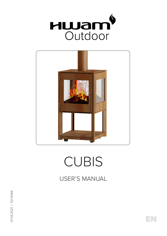



# CUBIS

USER'S MANUAL

EN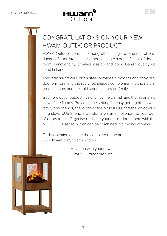

### CONGRATULATIONS ON YOUR NEW HWAM OUTDOOR PRODUCT

HWAM Outdoor consists, among other things, of a series of products in Corten steel — designed to create a beautiful out-of-doors room. Functionality, timeless design and good Danish quality go hand in hand.

The reddish-brown Corten steel provides a modern and cosy outdoor environment, the rusty red shades complementing the natural green colours and the cold stone colours perfectly.

Get more out of outdoor living. Enjoy the warmth and the fascinating view of the flames. Providing the setting for cosy get-togethers with family and friends, the outdoor fire pit FUEGO and the wood-burning stove CUBIS lend a wonderful warm atmosphere to your outof-doors room. Organise or divide your out-of-doors room with the MULTI-FLEX series, which can be combined in a myriad of ways.

Find inspiration and see the complete range at www.hwam.com/hwam-outdoor.

> Have fun with your new HWAM Outdoor product.

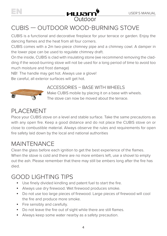

## **EN USER'S MANUAL**<br>Cutdoor

#### CUBIS — OUTDOOR WOOD-BURNING STOVE

CUBIS is a functional and decorative fireplace for your terrace or garden. Enjoy the dancing flames and the heat from all four corners.

CUBIS comes with a 2m two-piece chimney pipe and a chimney cowl. A damper in the lower pipe can be used to regulate chimney draft.

On the inside, CUBIS is clad with insulating stone (we recommend removing the cladding if the wood-burning stove will not be used for a long period of time to avoid too much moisture and frost damage)

NB! The handle may get hot. Always use a glove!

Be careful, all exterior surfaces will get hot.



#### ACCESSORIES – BASE WITH WHEELS

Make CUBIS mobile by placing it on a base with wheels. The stove can now be moved about the terrace.

#### PLACEMENT

Place your CUBIS stove on a level and stable surface. Take the same precautions as with any open fire. Keep a good distance and do not place the CUBIS stove on or close to combustible material. Always observe the rules and requirements for open fire safety laid down by the local and national authorities

#### MAINTENANCE

Clean the glass before each ignition to get the best experience of the flames. When the stove is cold and there are no more embers left, use a shovel to empty out the ash. Please remember that there may still be embers long after the fire has died.

#### GOOD LIGHTING TIPS

- Use finely divided kindling and patent fuel to start the fire.
- Always use dry firewood. Wet firewood produces smoke.
- Do not use too large pieces of firewood. Large pieces of firewood will cool the fire and produce more smoke.
- Fire sensibly and carefully.
- Do not leave the fire out of sight while there are still flames.
- Always keep some water nearby as a safety precaution.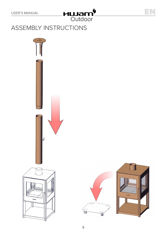

#### ASSEMBLY INSTRUCTIONS



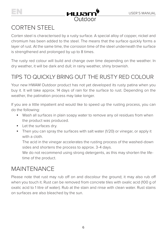



#### CORTEN STEEL

Corten steel is characterised by a rusty surface. A special alloy of copper, nickel and chromium has been added to the steel. The means that the surface quickly forms a layer of rust. At the same time, the corrosion time of the steel underneath the surface is strengthened and prolonged by up to 8 times.

The rusty red colour will build and change over time depending on the weather. In dry weather, it will be dark and dull; in rainy weather, shiny brownish.

#### TIPS TO QUICKLY BRING OUT THE RUSTY RED COLOUR

Your new HWAM Outdoor product has not yet developed its rusty patina when you buy it. It will take approx. 14 days of rain for the surface to rust. Depending on the weather, the patination process may take longer.

If you are a little impatient and would like to speed up the rusting process, you can do the following:

- Wash all surfaces in plain soapy water to remove any oil residues from when the product was produced.
- Let the surfaces dry.
- Then you can spray the surfaces with salt water (1/20) or vinegar, or apply it with a cloth.

 The acid in the vinegar accelerates the rusting process of the washed-down sides and shortens the process to approx. 3-4 days.

We do not recommend using strong detergents, as this may shorten the lifetime of the product.

#### MAINTENANCE

Please note that rust may rub off on and discolour the ground; it may also rub off when you touch it. Rust can be removed from concrete tiles with oxalic acid (100 g of oxalic acid to 1 litre of water). Rub at the stain and rinse with clean water. Rust stains on surfaces are also bleached by the sun.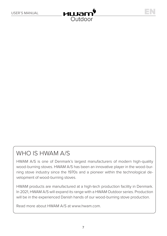

#### WHO IS HWAM A/S

HWAM A/S is one of Denmark's largest manufacturers of modern high-quality wood-burning stoves. HWAM A/S has been an innovative player in the wood-burning stove industry since the 1970s and a pioneer within the technological development of wood-burning stoves.

HWAM products are manufactured at a high-tech production facility in Denmark. In 2021, HWAM A/S will expand its range with a HWAM Outdoor series. Production will be in the experienced Danish hands of our wood-burning stove production.

Read more about HWAM A/S at www.hwam.com.